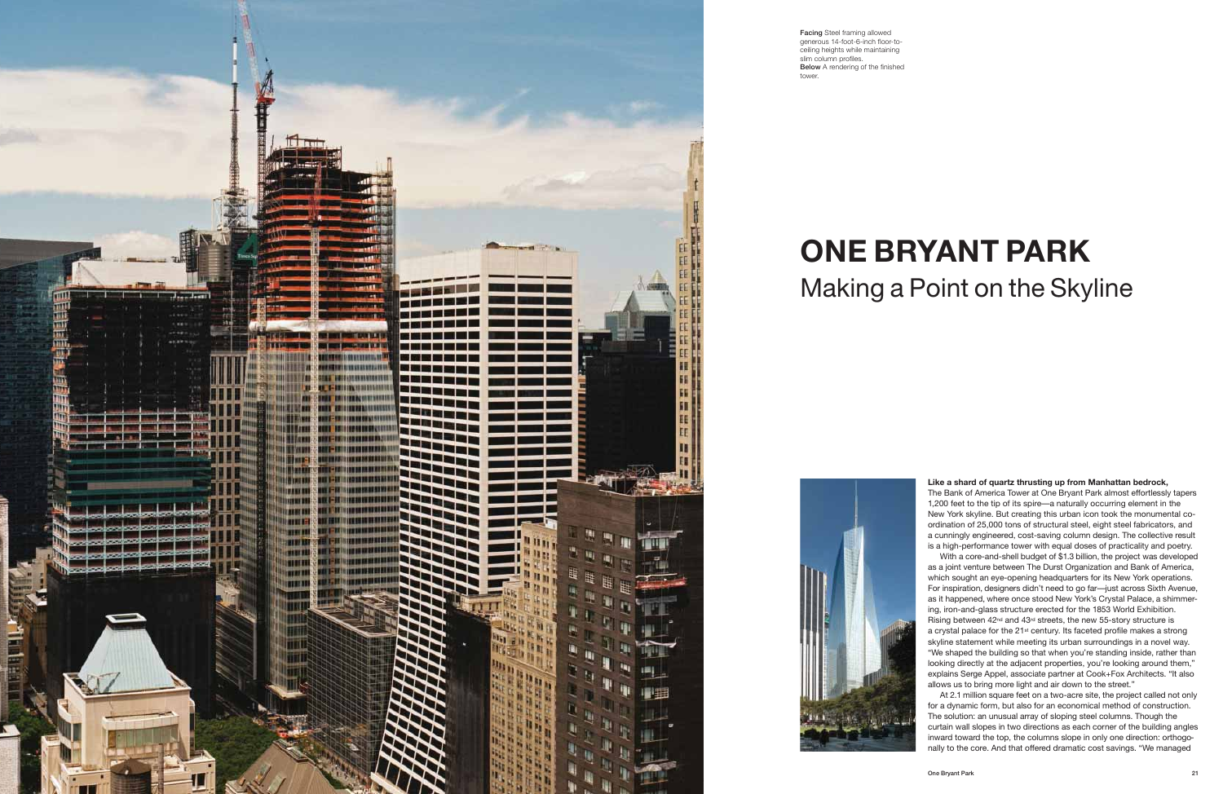## **Like a shard of quartz thrusting up from Manhattan bedrock,**

The Bank of America Tower at One Bryant Park almost effortlessly tapers 1,200 feet to the tip of its spire—a naturally occurring element in the New York skyline. But creating this urban icon took the monumental coordination of 25,000 tons of structural steel, eight steel fabricators, and a cunningly engineered, cost-saving column design. The collective result is a high-performance tower with equal doses of practicality and poetry.

With a core-and-shell budget of \$1.3 billion, the project was developed as a joint venture between The Durst Organization and Bank of America, which sought an eye-opening headquarters for its New York operations. For inspiration, designers didn't need to go far—just across Sixth Avenue, as it happened, where once stood New York's Crystal Palace, a shimmering, iron-and-glass structure erected for the 1853 World Exhibition. Rising between 42nd and 43rd streets, the new 55-story structure is a crystal palace for the 21<sup>st</sup> century. Its faceted profile makes a strong skyline statement while meeting its urban surroundings in a novel way. "We shaped the building so that when you're standing inside, rather than looking directly at the adjacent properties, you're looking around them," explains Serge Appel, associate partner at Cook+Fox Architects. "It also allows us to bring more light and air down to the street."

At 2.1 million square feet on a two-acre site, the project called not only for a dynamic form, but also for an economical method of construction. The solution: an unusual array of sloping steel columns. Though the curtain wall slopes in two directions as each corner of the building angles inward toward the top, the columns slope in only one direction: orthogonally to the core. And that offered dramatic cost savings. "We managed



**Facing** Steel framing allowed generous 14-foot-6-inch floor-toceiling heights while maintaining slim column profiles. **Below** A rendering of the finished tower.

## **ONE BRYANT PARK** Making a Point on the Skyline

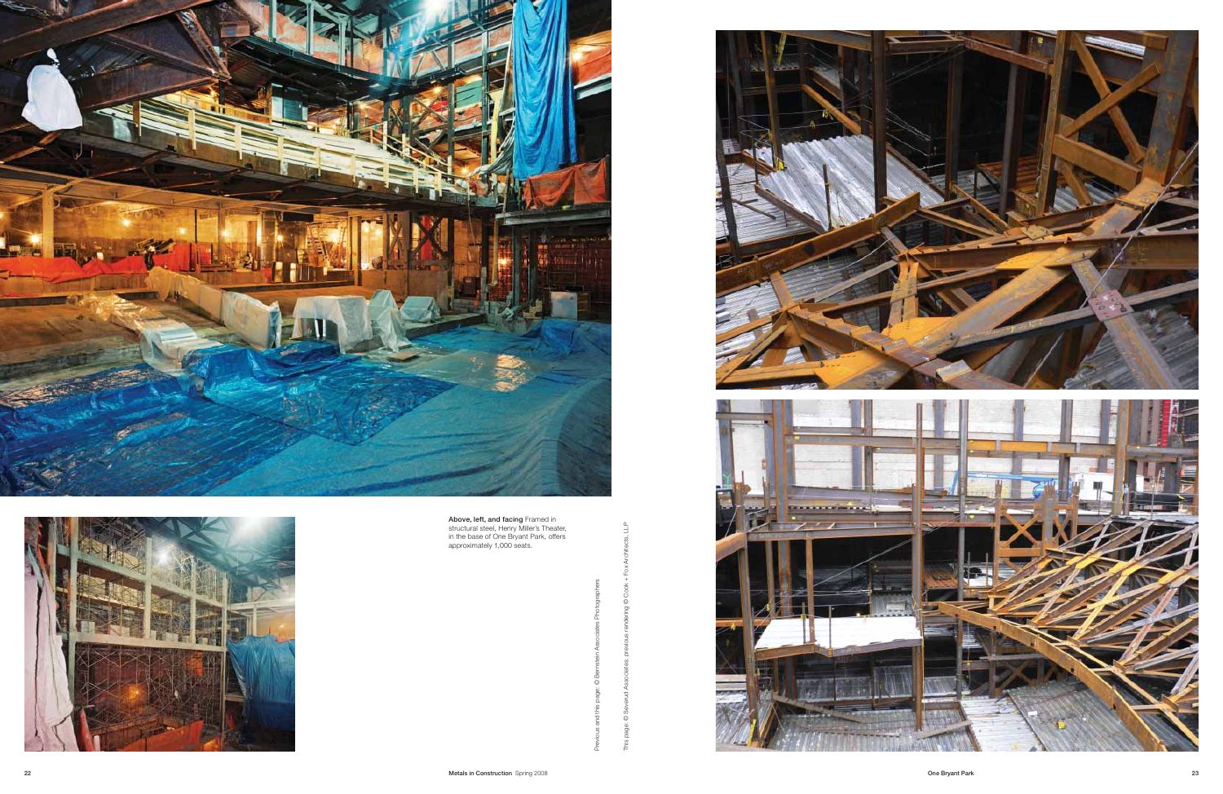This page: © Severud Associates; previous rendering © Cook + Fox Architects, LLP

 $\odot$ 

두

**22 Metals in Construction** Spring 2008

Previous and this page: © Bernstein Associates Photographers









**Above, left, and facing** Framed in structural steel, Henry Miller's Theater, in the base of One Bryant Park, offers approximately 1,000 seats.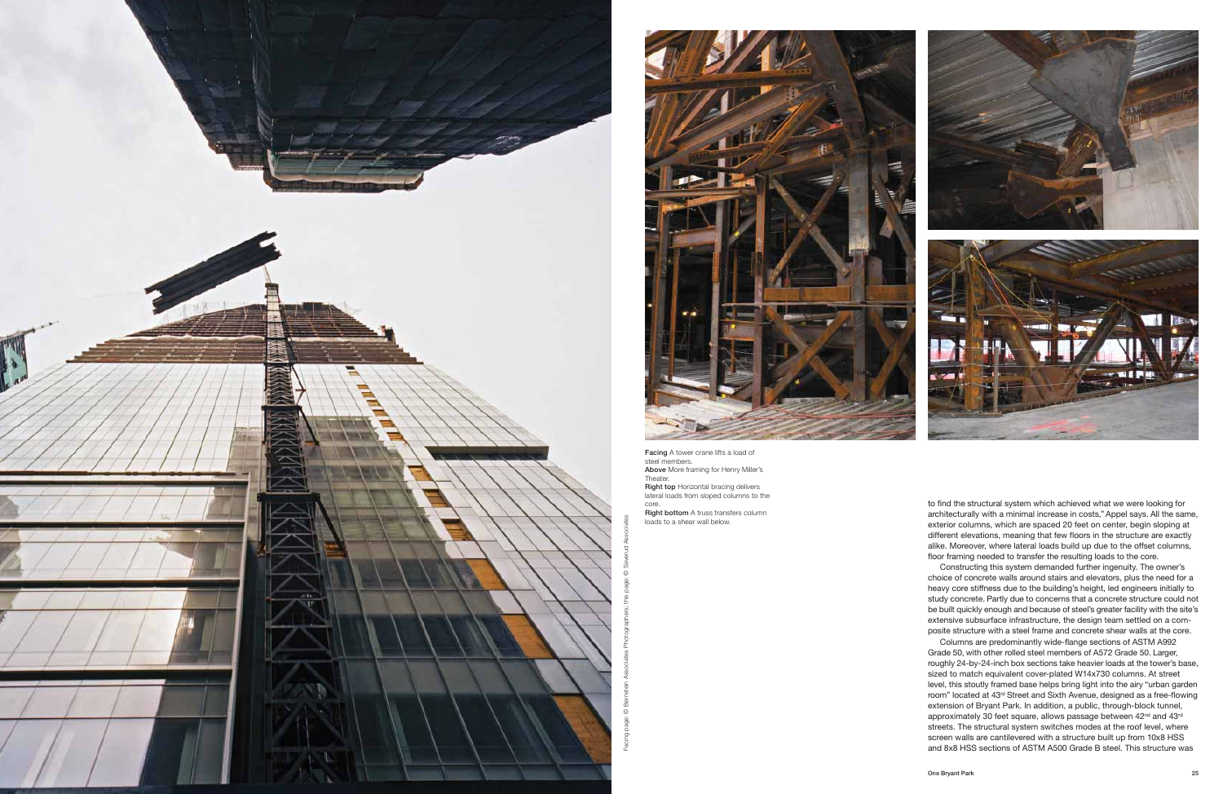



to find the structural system which achieved what we were looking for architecturally with a minimal increase in costs," Appel says. All the same, exterior columns, which are spaced 20 feet on center, begin sloping at different elevations, meaning that few floors in the structure are exactly alike. Moreover, where lateral loads build up due to the offset columns, floor framing needed to transfer the resulting loads to the core.

Constructing this system demanded further ingenuity. The owner's choice of concrete walls around stairs and elevators, plus the need for a heavy core stiffness due to the building's height, led engineers initially to study concrete. Partly due to concerns that a concrete structure could not be built quickly enough and because of steel's greater facility with the site's extensive subsurface infrastructure, the design team settled on a composite structure with a steel frame and concrete shear walls at the core.

Columns are predominantly wide-flange sections of ASTM A992 Grade 50, with other rolled steel members of A572 Grade 50. Larger, roughly 24-by-24-inch box sections take heavier loads at the tower's base, sized to match equivalent cover-plated W14x730 columns. At street level, this stoutly framed base helps bring light into the airy "urban garden room" located at 43rd Street and Sixth Avenue, designed as a free-flowing extension of Bryant Park. In addition, a public, through-block tunnel, approximately 30 feet square, allows passage between 42<sup>nd</sup> and 43<sup>rd</sup> streets. The structural system switches modes at the roof level, where screen walls are cantilevered with a structure built up from 10x8 HSS and 8x8 HSS sections of ASTM A500 Grade B steel. This structure was

**Facing** A tower crane lifts a load of steel members. **Above** More framing for Henry Miller's Theater. **Right top** Horizontal bracing delivers lateral loads from sloped columns to the core. **Right bottom** A truss transfers column loads to a shear wall below.